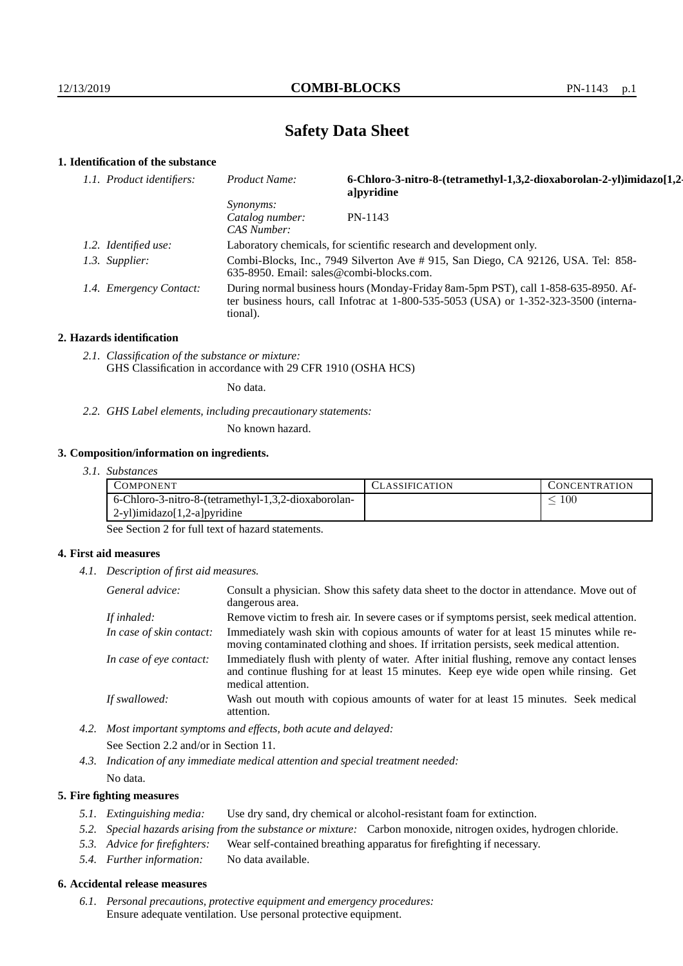# **Safety Data Sheet**

### **1. Identification of the substance**

| 1.1. Product identifiers: | Product Name:                                                                                                                                                                               | 6-Chloro-3-nitro-8-(tetramethyl-1,3,2-dioxaborolan-2-yl)imidazo[1,2-<br>a]pyridine |  |
|---------------------------|---------------------------------------------------------------------------------------------------------------------------------------------------------------------------------------------|------------------------------------------------------------------------------------|--|
|                           | <i>Synonyms:</i><br>Catalog number:<br>CAS Number:                                                                                                                                          | PN-1143                                                                            |  |
| 1.2. Identified use:      | Laboratory chemicals, for scientific research and development only.                                                                                                                         |                                                                                    |  |
| 1.3. Supplier:            | 635-8950. Email: sales@combi-blocks.com.                                                                                                                                                    | Combi-Blocks, Inc., 7949 Silverton Ave # 915, San Diego, CA 92126, USA. Tel: 858-  |  |
| 1.4. Emergency Contact:   | During normal business hours (Monday-Friday 8am-5pm PST), call 1-858-635-8950. Af-<br>ter business hours, call Infotrac at $1-800-535-5053$ (USA) or $1-352-323-3500$ (interna-<br>tional). |                                                                                    |  |

#### **2. Hazards identification**

*2.1. Classification of the substance or mixture:* GHS Classification in accordance with 29 CFR 1910 (OSHA HCS)

No data.

*2.2. GHS Label elements, including precautionary statements:*

No known hazard.

### **3. Composition/information on ingredients.**

*3.1. Substances*

| COMPONENT                                           | LASSIFICATION | CONCENTR ATION |
|-----------------------------------------------------|---------------|----------------|
| 6-Chloro-3-nitro-8-(tetramethyl-1,3,2-dioxaborolan- |               | 100            |
| $2-y1$ ) imidazo $[1,2-a]$ pyridine                 |               |                |

See Section 2 for full text of hazard statements.

### **4. First aid measures**

*4.1. Description of first aid measures.*

| General advice:          | Consult a physician. Show this safety data sheet to the doctor in attendance. Move out of<br>dangerous area.                                                                                            |
|--------------------------|---------------------------------------------------------------------------------------------------------------------------------------------------------------------------------------------------------|
| If inhaled:              | Remove victim to fresh air. In severe cases or if symptoms persist, seek medical attention.                                                                                                             |
| In case of skin contact: | Immediately wash skin with copious amounts of water for at least 15 minutes while re-<br>moving contaminated clothing and shoes. If irritation persists, seek medical attention.                        |
| In case of eye contact:  | Immediately flush with plenty of water. After initial flushing, remove any contact lenses<br>and continue flushing for at least 15 minutes. Keep eye wide open while rinsing. Get<br>medical attention. |
| If swallowed:            | Wash out mouth with copious amounts of water for at least 15 minutes. Seek medical<br>attention.                                                                                                        |

*4.2. Most important symptoms and effects, both acute and delayed:* See Section 2.2 and/or in Section 11.

*4.3. Indication of any immediate medical attention and special treatment needed:* No data.

### **5. Fire fighting measures**

- *5.1. Extinguishing media:* Use dry sand, dry chemical or alcohol-resistant foam for extinction.
- *5.2. Special hazards arising from the substance or mixture:* Carbon monoxide, nitrogen oxides, hydrogen chloride.
- *5.3. Advice for firefighters:* Wear self-contained breathing apparatus for firefighting if necessary.
- *5.4. Further information:* No data available.

### **6. Accidental release measures**

*6.1. Personal precautions, protective equipment and emergency procedures:* Ensure adequate ventilation. Use personal protective equipment.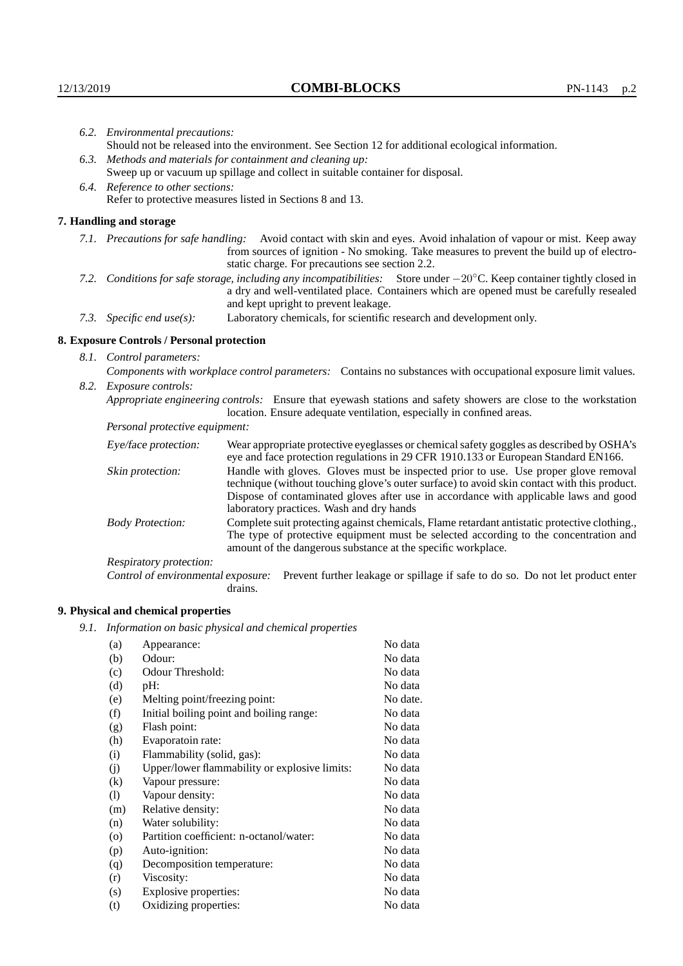|  | 6.2. Environmental precautions:                                                                                                                                                        |                                                                                                                                                                                                                                                                     |  |
|--|----------------------------------------------------------------------------------------------------------------------------------------------------------------------------------------|---------------------------------------------------------------------------------------------------------------------------------------------------------------------------------------------------------------------------------------------------------------------|--|
|  | Should not be released into the environment. See Section 12 for additional ecological information.                                                                                     |                                                                                                                                                                                                                                                                     |  |
|  | 6.3. Methods and materials for containment and cleaning up:                                                                                                                            |                                                                                                                                                                                                                                                                     |  |
|  | Sweep up or vacuum up spillage and collect in suitable container for disposal.                                                                                                         |                                                                                                                                                                                                                                                                     |  |
|  | 6.4. Reference to other sections:                                                                                                                                                      |                                                                                                                                                                                                                                                                     |  |
|  | Refer to protective measures listed in Sections 8 and 13.                                                                                                                              |                                                                                                                                                                                                                                                                     |  |
|  | 7. Handling and storage                                                                                                                                                                |                                                                                                                                                                                                                                                                     |  |
|  |                                                                                                                                                                                        | 7.1. Precautions for safe handling: Avoid contact with skin and eyes. Avoid inhalation of vapour or mist. Keep away<br>from sources of ignition - No smoking. Take measures to prevent the build up of electro-<br>static charge. For precautions see section 2.2.  |  |
|  |                                                                                                                                                                                        | 7.2. Conditions for safe storage, including any incompatibilities: Store under $-20^{\circ}$ C. Keep container tightly closed in<br>a dry and well-ventilated place. Containers which are opened must be carefully resealed<br>and kept upright to prevent leakage. |  |
|  | 7.3. Specific end use(s):                                                                                                                                                              | Laboratory chemicals, for scientific research and development only.                                                                                                                                                                                                 |  |
|  | 8. Exposure Controls / Personal protection                                                                                                                                             |                                                                                                                                                                                                                                                                     |  |
|  | 8.1. Control parameters:                                                                                                                                                               |                                                                                                                                                                                                                                                                     |  |
|  | Components with workplace control parameters: Contains no substances with occupational exposure limit values.                                                                          |                                                                                                                                                                                                                                                                     |  |
|  | 8.2. Exposure controls:                                                                                                                                                                |                                                                                                                                                                                                                                                                     |  |
|  | Appropriate engineering controls: Ensure that eyewash stations and safety showers are close to the workstation<br>location. Ensure adequate ventilation, especially in confined areas. |                                                                                                                                                                                                                                                                     |  |
|  | Personal protective equipment:                                                                                                                                                         |                                                                                                                                                                                                                                                                     |  |
|  | Eye/face protection:                                                                                                                                                                   | Wear appropriate protective eyeglasses or chemical safety goggles as described by OSHA's<br>eye and face protection regulations in 29 CFR 1910.133 or European Standard EN166.                                                                                      |  |
|  | Skin protection:                                                                                                                                                                       | Handle with gloves. Gloves must be inspected prior to use. Use proper glove removal<br>technique (without touching glove's outer surface) to avoid skin contact with this product                                                                                   |  |

| Eye/face protection:                                                                                                                                                                                                                                                            |                                                                                                                                                                                                                                                                                                                        | Wear appropriate protective eyeglasses or chemical safety goggles as described by OSHA's<br>eye and face protection regulations in 29 CFR 1910.133 or European Standard EN166. |
|---------------------------------------------------------------------------------------------------------------------------------------------------------------------------------------------------------------------------------------------------------------------------------|------------------------------------------------------------------------------------------------------------------------------------------------------------------------------------------------------------------------------------------------------------------------------------------------------------------------|--------------------------------------------------------------------------------------------------------------------------------------------------------------------------------|
| Skin protection:                                                                                                                                                                                                                                                                | Handle with gloves. Gloves must be inspected prior to use. Use proper glove removal<br>technique (without touching glove's outer surface) to avoid skin contact with this product.<br>Dispose of contaminated gloves after use in accordance with applicable laws and good<br>laboratory practices. Wash and dry hands |                                                                                                                                                                                |
| Complete suit protecting against chemicals, Flame retardant antistatic protective clothing.,<br><b>Body Protection:</b><br>The type of protective equipment must be selected according to the concentration and<br>amount of the dangerous substance at the specific workplace. |                                                                                                                                                                                                                                                                                                                        |                                                                                                                                                                                |
| Respiratory protection:                                                                                                                                                                                                                                                         |                                                                                                                                                                                                                                                                                                                        |                                                                                                                                                                                |
| Control of environmental exposure:                                                                                                                                                                                                                                              | drains.                                                                                                                                                                                                                                                                                                                | Prevent further leakage or spillage if safe to do so. Do not let product enter                                                                                                 |

## **9. Physical and chemical properties**

*9.1. Information on basic physical and chemical properties*

| (a)                        | Appearance:                                   | No data  |
|----------------------------|-----------------------------------------------|----------|
| (b)                        | Odour:                                        | No data  |
| (c)                        | Odour Threshold:                              | No data  |
| (d)                        | $pH$ :                                        | No data  |
| (e)                        | Melting point/freezing point:                 | No date. |
| (f)                        | Initial boiling point and boiling range:      | No data  |
| (g)                        | Flash point:                                  | No data  |
| (h)                        | Evaporatoin rate:                             | No data  |
| (i)                        | Flammability (solid, gas):                    | No data  |
| (j)                        | Upper/lower flammability or explosive limits: | No data  |
| (k)                        | Vapour pressure:                              | No data  |
| $\left( \mathrm{l}\right)$ | Vapour density:                               | No data  |
| (m)                        | Relative density:                             | No data  |
| (n)                        | Water solubility:                             | No data  |
| $\rm (o)$                  | Partition coefficient: n-octanol/water:       | No data  |
| (p)                        | Auto-ignition:                                | No data  |
| (q)                        | Decomposition temperature:                    | No data  |
| (r)                        | Viscosity:                                    | No data  |
| (s)                        | Explosive properties:                         | No data  |
| (t)                        | Oxidizing properties:                         | No data  |